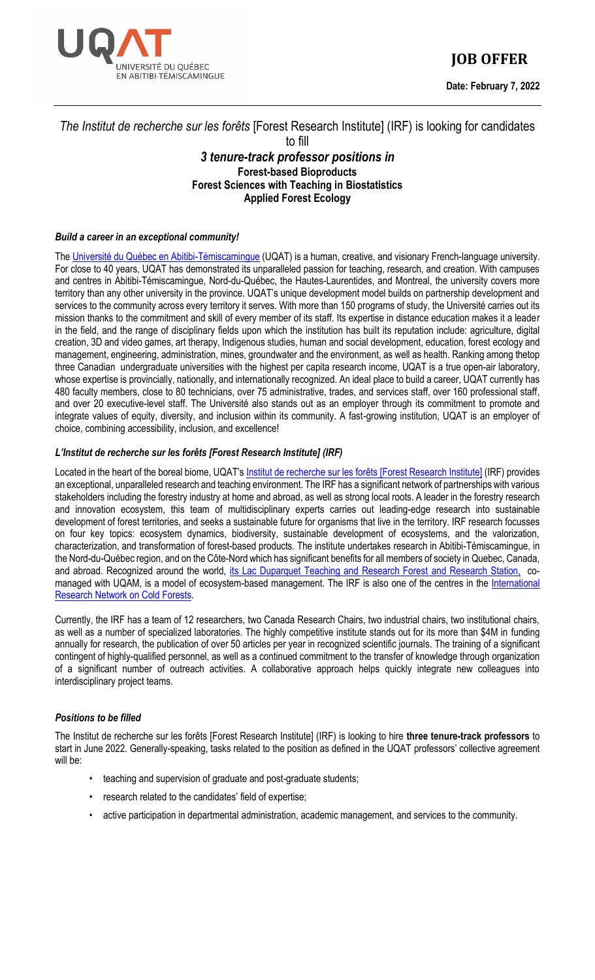

# **JOB OFFER**

**Date: February 7, 2022**

# *The Institut de recherche sur les forêts* [Forest Research Institute] (IRF) is looking for candidates

#### to fill

# *3 tenure-track professor positions in* **Forest-based Bioproducts Forest Sciences with Teaching in Biostatistics Applied Forest Ecology**

## *Build a career in an exceptional community!*

The [Université du Québec en Abitibi-Témiscamingue](http://www.uqat.ca/) (UQAT) is a human, creative, and visionary French-language university. For close to 40 years, UQAT has demonstrated its unparalleled passion for teaching, research, and creation. With campuses and centres in Abitibi-Témiscamingue, Nord-du-Québec, the Hautes-Laurentides, and Montreal, the university covers more territory than any other university in the province. UQAT's unique development model builds on partnership development and services to the community across every territory it serves. With more than 150 programs of study, the Université carries out its mission thanks to the commitment and skill of every member of its staff. Its expertise in distance education makes it a leader in the field, and the range of disciplinary fields upon which the institution has built its reputation include: agriculture, digital creation, 3D and video games, art therapy, Indigenous studies, human and social development, education, forest ecology and management, engineering, administration, mines, groundwater and the environment, as well as health. Ranking among thetop three Canadian undergraduate universities with the highest per capita research income, UQAT is a true open-air laboratory, whose expertise is provincially, nationally, and internationally recognized. An ideal place to build a career, UQAT currently has 480 faculty members, close to 80 technicians, over 75 administrative, trades, and services staff, over 160 professional staff, and over 20 executive-level staff. The Université also stands out as an employer through its commitment to promote and integrate values of equity, diversity, and inclusion within its community. A fast-growing institution, UQAT is an employer of choice, combining accessibility, inclusion, and excellence!

## *L'Institut de recherche sur les forêts [Forest Research Institute] (IRF)*

Located in the heart of the boreal biome, UQAT's [Institut de recherche sur les forêts \[Forest Research Institute\]](https://www.uqat.ca/uqat/departements/irf/) (IRF) provides an exceptional, unparalleled research and teaching environment. The IRF has a significant network of partnerships with various stakeholders including the forestry industry at home and abroad, as well as strong local roots. A leader in the forestry research and innovation ecosystem, this team of multidisciplinary experts carries out leading-edge research into sustainable development of forest territories, and seeks a sustainable future for organisms that live in the territory. IRF research focusses on four key topics: ecosystem dynamics, biodiversity, sustainable development of ecosystems, and the valorization, characterization, and transformation of forest-based products. The institute undertakes research in Abitibi-Témiscamingue, in the Nord-du-Québec region, and on the Côte-Nord which has significant benefits for all members of society in Quebec, Canada, and abroad. Recognized around the world, [its Lac Duparquet Teaching and Research Forest](https://ferld.uqat.ca/) and Research Station, comanaged with UQAM, is a model of ecosystem-based management. The IRF is also one of the centres in the International [Research Network on Cold Forests.](https://forets-froides.org/)

Currently, the IRF has a team of 12 researchers, two Canada Research Chairs, two industrial chairs, two institutional chairs, as well as a number of specialized laboratories. The highly competitive institute stands out for its more than \$4M in funding annually for research, the publication of over 50 articles per year in recognized scientific journals. The training of a significant contingent of highly-qualified personnel, as well as a continued commitment to the transfer of knowledge through organization of a significant number of outreach activities. A collaborative approach helps quickly integrate new colleagues into interdisciplinary project teams.

## *Positions to be filled*

The Institut de recherche sur les forêts [Forest Research Institute] (IRF) is looking to hire **three tenure-track professors** to start in June 2022. Generally-speaking, tasks related to the position as defined in the UQAT professors' collective agreement will be:

- teaching and supervision of graduate and post-graduate students;
- research related to the candidates' field of expertise;
- active participation in departmental administration, academic management, and services to the community.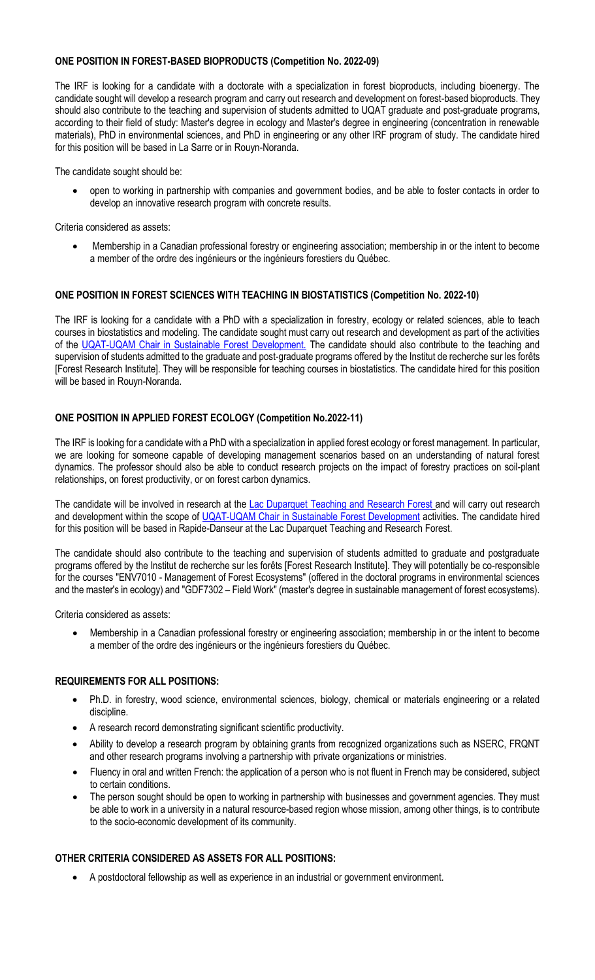## **ONE POSITION IN FOREST-BASED BIOPRODUCTS (Competition No. 2022-09)**

The IRF is looking for a candidate with a doctorate with a specialization in forest bioproducts, including bioenergy. The candidate sought will develop a research program and carry out research and development on forest-based bioproducts. They should also contribute to the teaching and supervision of students admitted to UQAT graduate and post-graduate programs, according to their field of study: Master's degree in ecology and Master's degree in engineering (concentration in renewable materials), PhD in environmental sciences, and PhD in engineering or any other IRF program of study. The candidate hired for this position will be based in La Sarre or in Rouyn-Noranda.

The candidate sought should be:

• open to working in partnership with companies and government bodies, and be able to foster contacts in order to develop an innovative research program with concrete results.

Criteria considered as assets:

• Membership in a Canadian professional forestry or engineering association; membership in or the intent to become a member of the ordre des ingénieurs or the ingénieurs forestiers du Québec.

## **ONE POSITION IN FOREST SCIENCES WITH TEACHING IN BIOSTATISTICS (Competition No. 2022-10)**

The IRF is looking for a candidate with a PhD with a specialization in forestry, ecology or related sciences, able to teach courses in biostatistics and modeling. The candidate sought must carry out research and development as part of the activities of the [UQAT-UQAM Chair in Sustainable Forest Development.](https://chaireafd.uqat.ca/index.php) The candidate should also contribute to the teaching and supervision of students admitted to the graduate and post-graduate programs offered by the Institut de recherche sur les forêts [Forest Research Institute]. They will be responsible for teaching courses in biostatistics. The candidate hired for this position will be based in Rouyn-Noranda.

## **ONE POSITION IN APPLIED FOREST ECOLOGY (Competition No.2022-11)**

The IRF is looking for a candidate with a PhD with a specialization in applied forest ecology or forest management. In particular, we are looking for someone capable of developing management scenarios based on an understanding of natural forest dynamics. The professor should also be able to conduct research projects on the impact of forestry practices on soil-plant relationships, on forest productivity, or on forest carbon dynamics.

The candidate will be involved in research at the [Lac Duparquet Teaching and Research Forest](https://ferld.uqat.ca/) and will carry out research and development within the scope of [UQAT-UQAM Chair in Sustainable Forest Development](https://chaireafd.uqat.ca/index.php) activities. The candidate hired for this position will be based in Rapide-Danseur at the Lac Duparquet Teaching and Research Forest.

The candidate should also contribute to the teaching and supervision of students admitted to graduate and postgraduate programs offered by the Institut de recherche sur les forêts [Forest Research Institute]. They will potentially be co-responsible for the courses "ENV7010 - Management of Forest Ecosystems" (offered in the doctoral programs in environmental sciences and the master's in ecology) and "GDF7302 – Field Work" (master's degree in sustainable management of forest ecosystems).

Criteria considered as assets:

• Membership in a Canadian professional forestry or engineering association; membership in or the intent to become a member of the ordre des ingénieurs or the ingénieurs forestiers du Québec.

#### **REQUIREMENTS FOR ALL POSITIONS:**

- Ph.D. in forestry, wood science, environmental sciences, biology, chemical or materials engineering or a related discipline.
- A research record demonstrating significant scientific productivity.
- Ability to develop a research program by obtaining grants from recognized organizations such as NSERC, FRQNT and other research programs involving a partnership with private organizations or ministries.
- Fluency in oral and written French: the application of a person who is not fluent in French may be considered, subject to certain conditions.
- The person sought should be open to working in partnership with businesses and government agencies. They must be able to work in a university in a natural resource-based region whose mission, among other things, is to contribute to the socio-economic development of its community.

## **OTHER CRITERIA CONSIDERED AS ASSETS FOR ALL POSITIONS:**

• A postdoctoral fellowship as well as experience in an industrial or government environment.